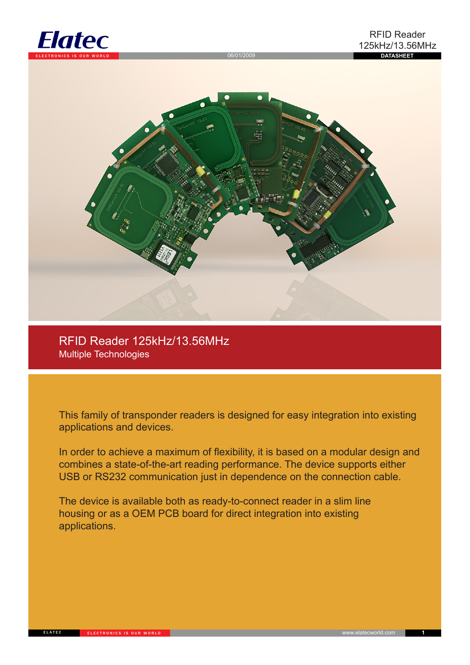



RFID Reader 125kHz/13.56MHz Multiple Technologies

This family of transponder readers is designed for easy integration into existing applications and devices.

In order to achieve a maximum of flexibility, it is based on a modular design and combines a state-of-the-art reading performance. The device supports either USB or RS232 communication just in dependence on the connection cable.

The device is available both as ready-to-connect reader in a slim line housing or as a OEM PCB board for direct integration into existing applications.